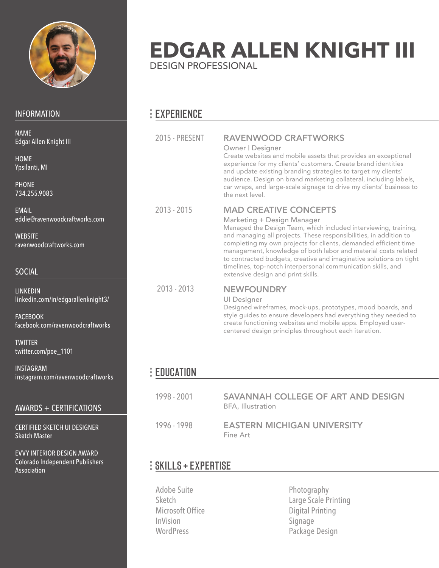

INF

WE rav

S<sub>O</sub>

LIN

FAC<br>face

**TW** twi

INS

EVVY INTERIOR DESIGN AWARD Colorado Independent Publishers

Association

| <b>INFORMATION</b>                                                                                                                                     | <b>EXPERIENCE</b>       |                                                                                                                                                                                                                                                                                                                                                                                                                                                                                                                     |
|--------------------------------------------------------------------------------------------------------------------------------------------------------|-------------------------|---------------------------------------------------------------------------------------------------------------------------------------------------------------------------------------------------------------------------------------------------------------------------------------------------------------------------------------------------------------------------------------------------------------------------------------------------------------------------------------------------------------------|
| <b>NAME</b><br>Edgar Allen Knight III<br><b>HOME</b><br>Ypsilanti, MI<br><b>PHONE</b><br>734.255.9083                                                  | <b>2015 - PRESENT</b>   | <b>RAVENWOOD CRAFTWORKS</b><br>Owner   Designer<br>Create websites and mobile assets that provides an exceptional<br>experience for my clients' customers. Create brand identities<br>and update existing branding strategies to target my clients'<br>audience. Design on brand marketing collateral, including labels,<br>car wraps, and large-scale signage to drive my clients' business to<br>the next level.                                                                                                  |
| <b>EMAIL</b><br>eddie@ravenwoodcraftworks.com<br><b>WEBSITE</b><br>ravenwoodcraftworks.com<br><b>SOCIAL</b>                                            | $2013 - 2015$           | <b>MAD CREATIVE CONCEPTS</b><br>Marketing + Design Manager<br>Managed the Design Team, which included interviewing, training,<br>and managing all projects. These responsibilities, in addition to<br>completing my own projects for clients, demanded efficient time<br>management, knowledge of both labor and material costs related<br>to contracted budgets, creative and imaginative solutions on tight<br>timelines, top-notch interpersonal communication skills, and<br>extensive design and print skills. |
| <b>LINKEDIN</b><br>linkedin.com/in/edgarallenknight3/<br><b>FACEBOOK</b><br>facebook.com/ravenwoodcraftworks<br><b>TWITTER</b><br>twitter.com/poe_1101 | $2013 - 2013$           | <b>NEWFOUNDRY</b><br><b>UI Designer</b><br>Designed wireframes, mock-ups, prototypes, mood boards, and<br>style guides to ensure developers had everything they needed to<br>create functioning websites and mobile apps. Employed user-<br>centered design principles throughout each iteration.                                                                                                                                                                                                                   |
| <b>INSTAGRAM</b><br>instagram.com/ravenwoodcraftworks                                                                                                  | $\frac{1}{2}$ EDUCATION |                                                                                                                                                                                                                                                                                                                                                                                                                                                                                                                     |
| <b>AWARDS + CERTIFICATIONS</b>                                                                                                                         | 1998 - 2001             | SAVANNAH COLLEGE OF ART AND DESIGN<br><b>BFA, Illustration</b>                                                                                                                                                                                                                                                                                                                                                                                                                                                      |
| <b>CERTIFIED SKETCH UI DESIGNER</b><br><b>Sketch Master</b>                                                                                            | 1996 - 1998             | <b>EASTERN MICHIGAN UNIVERSITY</b><br>Fine Art                                                                                                                                                                                                                                                                                                                                                                                                                                                                      |

DESIGN PROFESSIONAL

**EDGAR ALLEN KNIGHT III**

# SKILLS + EXPERTISE

Adobe Suite Sketch Microsoft Office InVision WordPress

Photography Large Scale Printing Digital Printing Signage Package Design